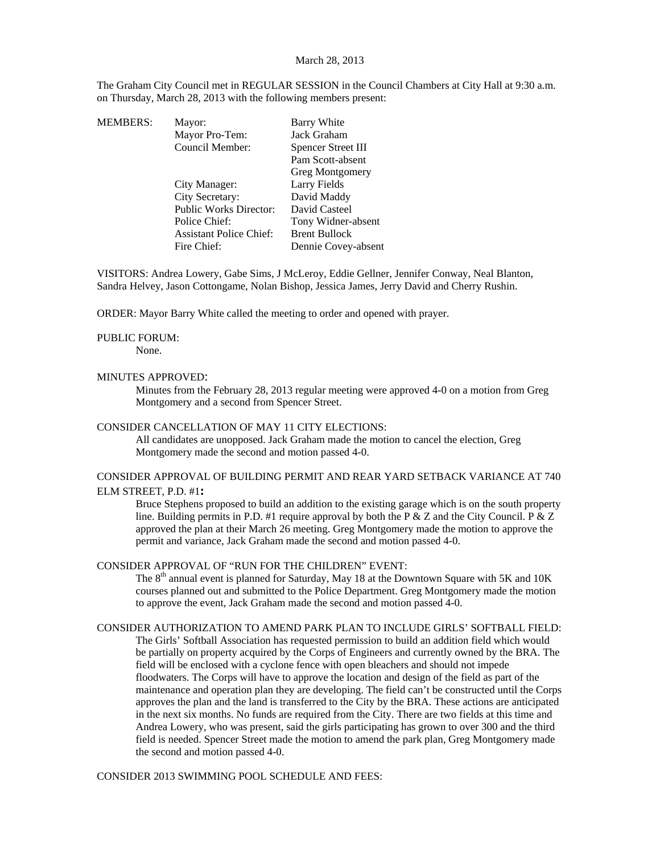### March 28, 2013

The Graham City Council met in REGULAR SESSION in the Council Chambers at City Hall at 9:30 a.m. on Thursday, March 28, 2013 with the following members present:

| MEMBERS: | Mayor:                         | Barry White          |
|----------|--------------------------------|----------------------|
|          | Mayor Pro-Tem:                 | Jack Graham          |
|          | Council Member:                | Spencer Street III   |
|          |                                | Pam Scott-absent     |
|          |                                | Greg Montgomery      |
|          | City Manager:                  | Larry Fields         |
|          | City Secretary:                | David Maddy          |
|          | <b>Public Works Director:</b>  | David Casteel        |
|          | Police Chief:                  | Tony Widner-absent   |
|          | <b>Assistant Police Chief:</b> | <b>Brent Bullock</b> |
|          | Fire Chief:                    | Dennie Covey-absent  |
|          |                                |                      |

VISITORS: Andrea Lowery, Gabe Sims, J McLeroy, Eddie Gellner, Jennifer Conway, Neal Blanton, Sandra Helvey, Jason Cottongame, Nolan Bishop, Jessica James, Jerry David and Cherry Rushin.

ORDER: Mayor Barry White called the meeting to order and opened with prayer.

#### PUBLIC FORUM:

None.

#### MINUTES APPROVED:

Minutes from the February 28, 2013 regular meeting were approved 4-0 on a motion from Greg Montgomery and a second from Spencer Street.

### CONSIDER CANCELLATION OF MAY 11 CITY ELECTIONS:

All candidates are unopposed. Jack Graham made the motion to cancel the election, Greg Montgomery made the second and motion passed 4-0.

## CONSIDER APPROVAL OF BUILDING PERMIT AND REAR YARD SETBACK VARIANCE AT 740 ELM STREET, P.D. #1**:**

Bruce Stephens proposed to build an addition to the existing garage which is on the south property line. Building permits in P.D. #1 require approval by both the P  $\&$  Z and the City Council. P  $\&$  Z approved the plan at their March 26 meeting. Greg Montgomery made the motion to approve the permit and variance, Jack Graham made the second and motion passed 4-0.

### CONSIDER APPROVAL OF "RUN FOR THE CHILDREN" EVENT:

The 8<sup>th</sup> annual event is planned for Saturday, May 18 at the Downtown Square with 5K and 10K courses planned out and submitted to the Police Department. Greg Montgomery made the motion to approve the event, Jack Graham made the second and motion passed 4-0.

CONSIDER AUTHORIZATION TO AMEND PARK PLAN TO INCLUDE GIRLS' SOFTBALL FIELD: The Girls' Softball Association has requested permission to build an addition field which would be partially on property acquired by the Corps of Engineers and currently owned by the BRA. The field will be enclosed with a cyclone fence with open bleachers and should not impede floodwaters. The Corps will have to approve the location and design of the field as part of the maintenance and operation plan they are developing. The field can't be constructed until the Corps approves the plan and the land is transferred to the City by the BRA. These actions are anticipated in the next six months. No funds are required from the City. There are two fields at this time and Andrea Lowery, who was present, said the girls participating has grown to over 300 and the third field is needed. Spencer Street made the motion to amend the park plan, Greg Montgomery made the second and motion passed 4-0.

CONSIDER 2013 SWIMMING POOL SCHEDULE AND FEES: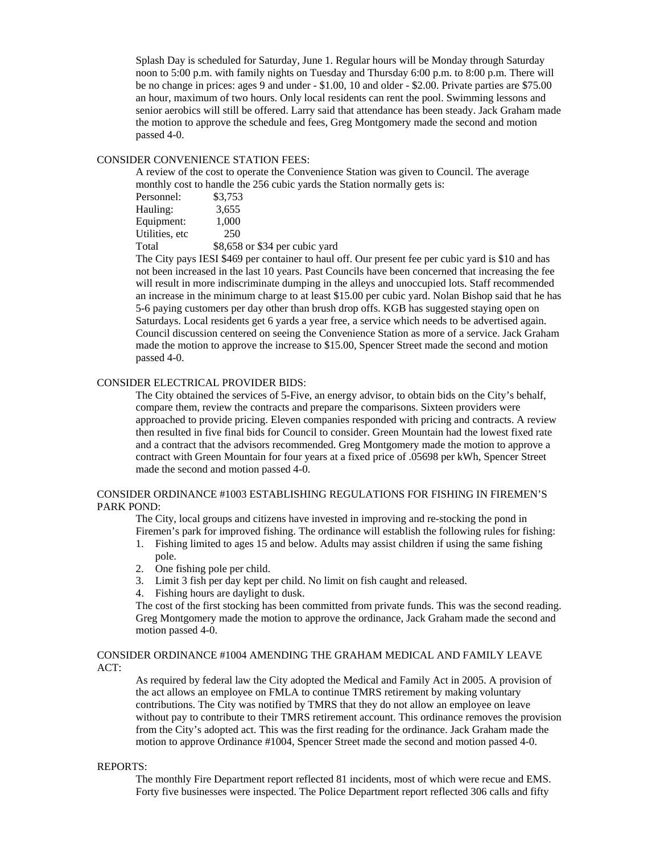Splash Day is scheduled for Saturday, June 1. Regular hours will be Monday through Saturday noon to 5:00 p.m. with family nights on Tuesday and Thursday 6:00 p.m. to 8:00 p.m. There will be no change in prices: ages 9 and under - \$1.00, 10 and older - \$2.00. Private parties are \$75.00 an hour, maximum of two hours. Only local residents can rent the pool. Swimming lessons and senior aerobics will still be offered. Larry said that attendance has been steady. Jack Graham made the motion to approve the schedule and fees, Greg Montgomery made the second and motion passed 4-0.

# CONSIDER CONVENIENCE STATION FEES:

A review of the cost to operate the Convenience Station was given to Council. The average monthly cost to handle the 256 cubic yards the Station normally gets is:

| Personnel:      | \$3,753                        |
|-----------------|--------------------------------|
| Hauling:        | 3,655                          |
| Equipment:      | 1,000                          |
| Utilities, etc. | 250                            |
| Total           | \$8,658 or \$34 per cubic yard |

The City pays IESI \$469 per container to haul off. Our present fee per cubic yard is \$10 and has not been increased in the last 10 years. Past Councils have been concerned that increasing the fee will result in more indiscriminate dumping in the alleys and unoccupied lots. Staff recommended an increase in the minimum charge to at least \$15.00 per cubic yard. Nolan Bishop said that he has 5-6 paying customers per day other than brush drop offs. KGB has suggested staying open on Saturdays. Local residents get 6 yards a year free, a service which needs to be advertised again. Council discussion centered on seeing the Convenience Station as more of a service. Jack Graham made the motion to approve the increase to \$15.00, Spencer Street made the second and motion passed 4-0.

### CONSIDER ELECTRICAL PROVIDER BIDS:

The City obtained the services of 5-Five, an energy advisor, to obtain bids on the City's behalf, compare them, review the contracts and prepare the comparisons. Sixteen providers were approached to provide pricing. Eleven companies responded with pricing and contracts. A review then resulted in five final bids for Council to consider. Green Mountain had the lowest fixed rate and a contract that the advisors recommended. Greg Montgomery made the motion to approve a contract with Green Mountain for four years at a fixed price of .05698 per kWh, Spencer Street made the second and motion passed 4-0.

### CONSIDER ORDINANCE #1003 ESTABLISHING REGULATIONS FOR FISHING IN FIREMEN'S PARK POND:

The City, local groups and citizens have invested in improving and re-stocking the pond in Firemen's park for improved fishing. The ordinance will establish the following rules for fishing:

- 1. Fishing limited to ages 15 and below. Adults may assist children if using the same fishing pole.
- 2. One fishing pole per child.
- 3. Limit 3 fish per day kept per child. No limit on fish caught and released.
- 4. Fishing hours are daylight to dusk.

The cost of the first stocking has been committed from private funds. This was the second reading. Greg Montgomery made the motion to approve the ordinance, Jack Graham made the second and motion passed 4-0.

# CONSIDER ORDINANCE #1004 AMENDING THE GRAHAM MEDICAL AND FAMILY LEAVE ACT:

As required by federal law the City adopted the Medical and Family Act in 2005. A provision of the act allows an employee on FMLA to continue TMRS retirement by making voluntary contributions. The City was notified by TMRS that they do not allow an employee on leave without pay to contribute to their TMRS retirement account. This ordinance removes the provision from the City's adopted act. This was the first reading for the ordinance. Jack Graham made the motion to approve Ordinance #1004, Spencer Street made the second and motion passed 4-0.

### REPORTS:

The monthly Fire Department report reflected 81 incidents, most of which were recue and EMS. Forty five businesses were inspected. The Police Department report reflected 306 calls and fifty